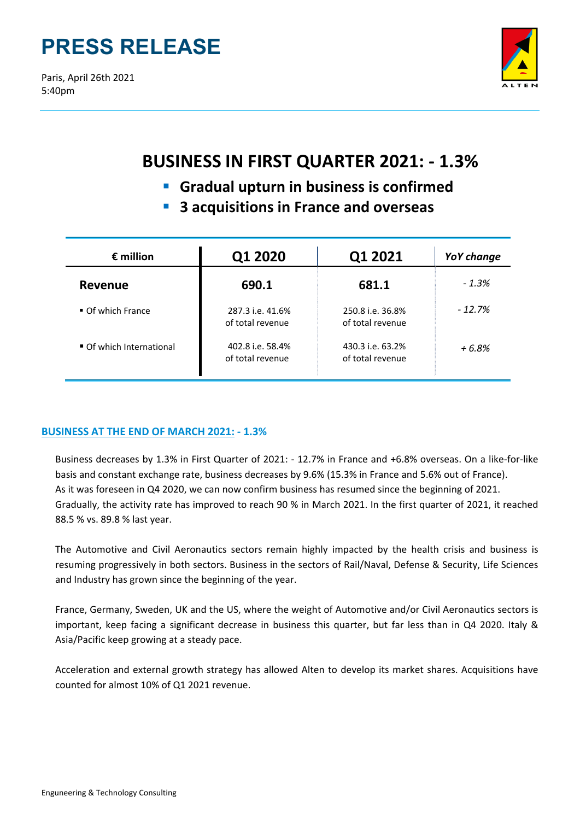# **PRESS RELEASE**

Paris, April 26th 2021 5:40pm



# **BUSINESS IN FIRST QUARTER 2021: ‐ 1.3%**

- **Gradual upturn in business is confirmed**
- **3 acquisitions in France and overseas**

| $\epsilon$ million             | Q1 2020                              | Q1 2021                              | YoY change |
|--------------------------------|--------------------------------------|--------------------------------------|------------|
| <b>Revenue</b>                 | 690.1                                | 681.1                                | $-1.3%$    |
| $\blacksquare$ Of which France | 287.3 i.e. 41.6%<br>of total revenue | 250.8 i.e. 36.8%<br>of total revenue | $-12.7%$   |
| Of which International         | 402.8 i.e. 58.4%<br>of total revenue | 430.3 i.e. 63.2%<br>of total revenue | $+6.8%$    |

# **BUSINESS AT THE END OF MARCH 2021: ‐ 1.3%**

Business decreases by 1.3% in First Quarter of 2021: ‐ 12.7% in France and +6.8% overseas. On a like‐for‐like basis and constant exchange rate, business decreases by 9.6% (15.3% in France and 5.6% out of France). As it was foreseen in Q4 2020, we can now confirm business has resumed since the beginning of 2021. Gradually, the activity rate has improved to reach 90 % in March 2021. In the first quarter of 2021, it reached 88.5 % vs. 89.8 % last year.

The Automotive and Civil Aeronautics sectors remain highly impacted by the health crisis and business is resuming progressively in both sectors. Business in the sectors of Rail/Naval, Defense & Security, Life Sciences and Industry has grown since the beginning of the year.

France, Germany, Sweden, UK and the US, where the weight of Automotive and/or Civil Aeronautics sectors is important, keep facing a significant decrease in business this quarter, but far less than in Q4 2020. Italy & Asia/Pacific keep growing at a steady pace.

Acceleration and external growth strategy has allowed Alten to develop its market shares. Acquisitions have counted for almost 10% of Q1 2021 revenue.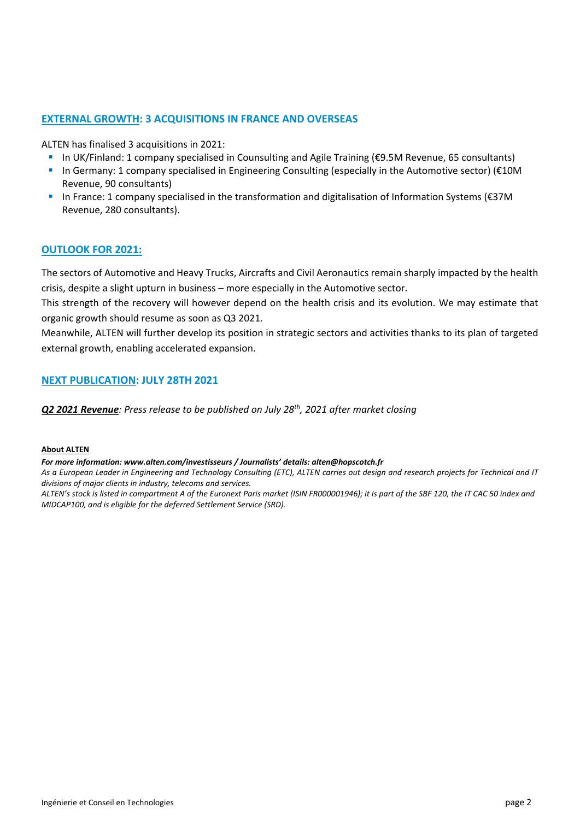# **EXTERNAL GROWTH: 3 ACQUISITIONS IN FRANCE AND OVERSEAS**

ALTEN has finalised 3 acquisitions in 2021:

- In UK/Finland: 1 company specialised in Counsulting and Agile Training (€9.5M Revenue, 65 consultants)
- In Germany: 1 company specialised in Engineering Consulting (especially in the Automotive sector) (€10M Revenue, 90 consultants)
- In France: 1 company specialised in the transformation and digitalisation of Information Systems (€37M Revenue, 280 consultants).

## **OUTLOOK FOR 2021:**

The sectors of Automotive and Heavy Trucks, Aircrafts and Civil Aeronautics remain sharply impacted by the health crisis, despite a slight upturn in business – more especially in the Automotive sector.

This strength of the recovery will however depend on the health crisis and its evolution. We may estimate that organic growth should resume as soon as Q3 2021.

Meanwhile, ALTEN will further develop its position in strategic sectors and activities thanks to its plan of targeted external growth, enabling accelerated expansion.

# **NEXT PUBLICATION: JULY 28TH 2021**

*Q2 2021 Revenue: Press release to be published on July 28th, 2021 after market closing*

#### **About ALTEN**

#### *For more information: www.alten.com/investisseurs / Journalists' details: alten@hopscotch.fr*

As a European Leader in Engineering and Technology Consulting (ETC), ALTEN carries out design and research projects for Technical and IT *divisions of major clients in industry, telecoms and services.*

ALTEN's stock is listed in compartment A of the Euronext Paris market (ISIN FR000001946); it is part of the SBF 120, the IT CAC 50 index and *MIDCAP100, and is eligible for the deferred Settlement Service (SRD).*